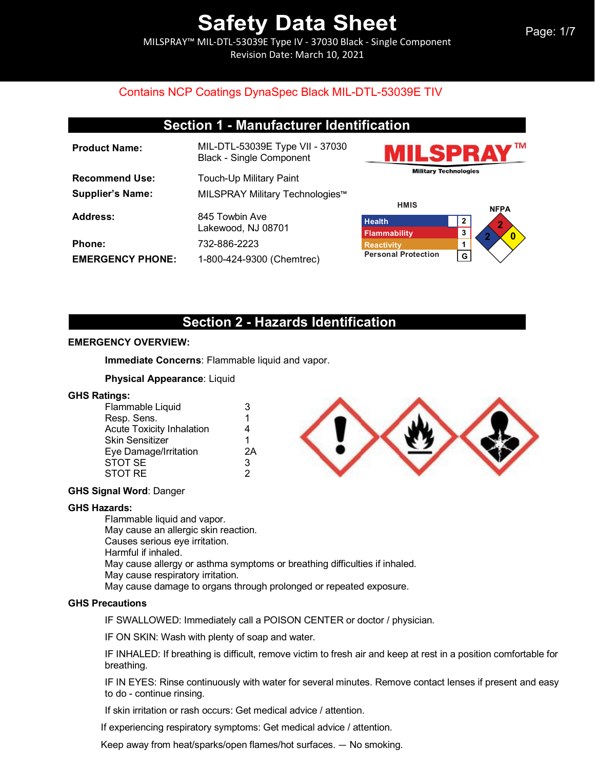MILSPRAY™ MIL-DTL-53039E Type IV - 37030 Black - Single Component Revision Date: March 10, 2021

| <b>Section 1 - Manufacturer Identification</b> |  |
|------------------------------------------------|--|
|------------------------------------------------|--|

| <b>Product Name:</b>    | MIL-DTL-53039E Type VII - 37030<br><b>Black - Single Component</b> |
|-------------------------|--------------------------------------------------------------------|
| <b>Recommend Use:</b>   | <b>Touch-Up Military Paint</b>                                     |
| <b>Supplier's Name:</b> | MILSPRAY Military Technologies™                                    |
| Address:                | 845 Towbin Ave<br>Lakewood, NJ 08701                               |
| <b>Phone:</b>           | 732-886-2223                                                       |
| <b>EMERGENCY PHONE:</b> | 1-800-424-9300 (Chemtrec)                                          |





### **Section 2 - Hazards Identification**

#### **EMERGENCY OVERVIEW:**

**Immediate Concerns**: Flammable liquid and vapor.

#### **Physical Appearance**: Liquid

#### **GHS Ratings:**

| 1<br>Resp. Sens.                      | 3  |
|---------------------------------------|----|
|                                       |    |
| <b>Acute Toxicity Inhalation</b><br>4 |    |
| Skin Sensitizer<br>1                  |    |
| Eye Damage/Irritation                 | 2A |
| <b>STOT SE</b><br>3                   |    |
| STOT RE<br>2                          |    |



#### **GHS Signal Word**: Danger

#### **GHS Hazards:**

Flammable liquid and vapor. May cause an allergic skin reaction. Causes serious eye irritation. Harmful if inhaled. May cause allergy or asthma symptoms or breathing difficulties if inhaled. May cause respiratory irritation. May cause damage to organs through prolonged or repeated exposure.

#### **GHS Precautions**

IF SWALLOWED: Immediately call a POISON CENTER or doctor / physician.

IF ON SKIN: Wash with plenty of soap and water.

IF INHALED: If breathing is difficult, remove victim to fresh air and keep at rest in a position comfortable for breathing.

IF IN EYES: Rinse continuously with water for several minutes. Remove contact lenses if present and easy to do - continue rinsing.

If skin irritation or rash occurs: Get medical advice / attention.

If experiencing respiratory symptoms: Get medical advice / attention.

Keep away from heat/sparks/open flames/hot surfaces. — No smoking.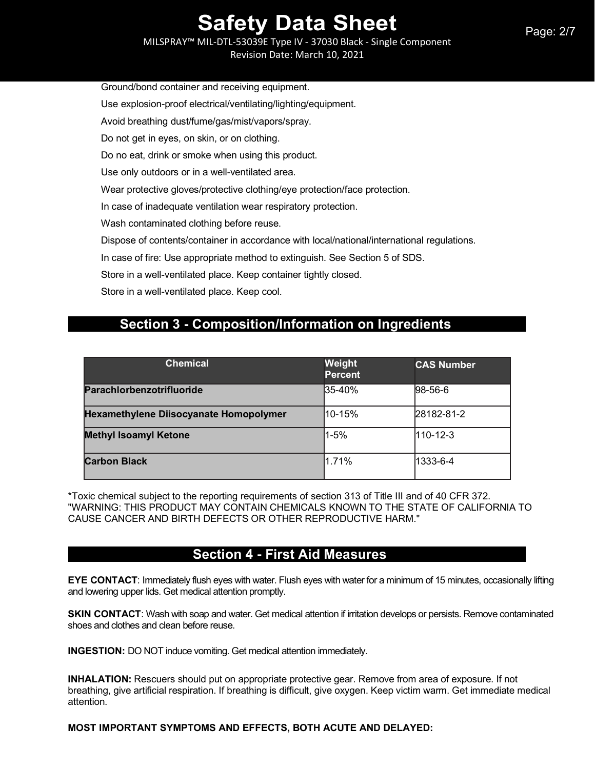Ground/bond container and receiving equipment.

Use explosion-proof electrical/ventilating/lighting/equipment.

Avoid breathing dust/fume/gas/mist/vapors/spray.

Do not get in eyes, on skin, or on clothing.

Do no eat, drink or smoke when using this product.

Use only outdoors or in a well-ventilated area.

Wear protective gloves/protective clothing/eye protection/face protection.

In case of inadequate ventilation wear respiratory protection.

Wash contaminated clothing before reuse.

Dispose of contents/container in accordance with local/national/international regulations.

In case of fire: Use appropriate method to extinguish. See Section 5 of SDS.

Store in a well-ventilated place. Keep container tightly closed.

Store in a well-ventilated place. Keep cool.

### **Section 3 - Composition/Information on Ingredients**

| <b>Chemical</b>                        | Weight<br><b>Percent</b> | <b>CAS Number</b> |
|----------------------------------------|--------------------------|-------------------|
| Parachlorbenzotrifluoride              | 35-40%                   | $98-56-6$         |
| Hexamethylene Diisocyanate Homopolymer | l10-15%                  | 28182-81-2        |
| <b>Methyl Isoamyl Ketone</b>           | l1-5%                    | 110-12-3          |
| <b>Carbon Black</b>                    | 1.71%                    | 1333-6-4          |

\*Toxic chemical subject to the reporting requirements of section 313 of Title III and of 40 CFR 372. "WARNING: THIS PRODUCT MAY CONTAIN CHEMICALS KNOWN TO THE STATE OF CALIFORNIA TO CAUSE CANCER AND BIRTH DEFECTS OR OTHER REPRODUCTIVE HARM."

## **Section 4 - First Aid Measures**

**EYE CONTACT:** Immediately flush eyes with water. Flush eyes with water for a minimum of 15 minutes, occasionally lifting and lowering upper lids. Get medical attention promptly.

**SKIN CONTACT**: Wash with soap and water. Get medical attention if irritation develops or persists. Remove contaminated shoes and clothes and clean before reuse.

**INGESTION:** DO NOT induce vomiting. Get medical attention immediately.

**INHALATION:** Rescuers should put on appropriate protective gear. Remove from area of exposure. If not breathing, give artificial respiration. If breathing is difficult, give oxygen. Keep victim warm. Get immediate medical attention.

**MOST IMPORTANT SYMPTOMS AND EFFECTS, BOTH ACUTE AND DELAYED:**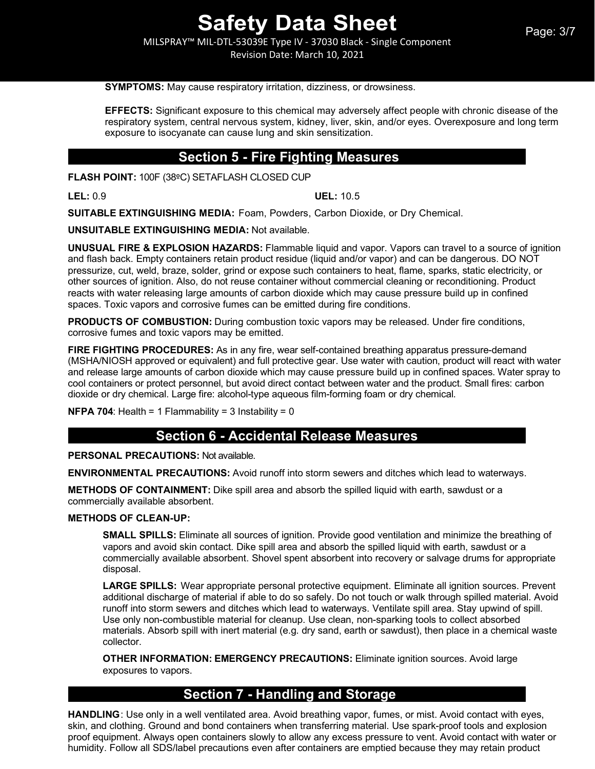Revision Date: March 10, 2021

#### **SYMPTOMS:** May cause respiratory irritation, dizziness, or drowsiness.

**EFFECTS:** Significant exposure to this chemical may adversely affect people with chronic disease of the respiratory system, central nervous system, kidney, liver, skin, and/or eyes. Overexposure and long term exposure to isocyanate can cause lung and skin sensitization.

### **Section 5 - Fire Fighting Measures**

**FLASH POINT:** 100F (38ºC) SETAFLASH CLOSED CUP

**LEL:** 0.9 **UEL:** 10.5

**SUITABLE EXTINGUISHING MEDIA:** Foam, Powders, Carbon Dioxide, or Dry Chemical.

**UNSUITABLE EXTINGUISHING MEDIA:** Not available.

**UNUSUAL FIRE & EXPLOSION HAZARDS:** Flammable liquid and vapor. Vapors can travel to a source of ignition and flash back. Empty containers retain product residue (liquid and/or vapor) and can be dangerous. DO NOT pressurize, cut, weld, braze, solder, grind or expose such containers to heat, flame, sparks, static electricity, or other sources of ignition. Also, do not reuse container without commercial cleaning or reconditioning. Product reacts with water releasing large amounts of carbon dioxide which may cause pressure build up in confined spaces. Toxic vapors and corrosive fumes can be emitted during fire conditions.

**PRODUCTS OF COMBUSTION:** During combustion toxic vapors may be released. Under fire conditions, corrosive fumes and toxic vapors may be emitted.

**FIRE FIGHTING PROCEDURES:** As in any fire, wear self-contained breathing apparatus pressure-demand (MSHA/NIOSH approved or equivalent) and full protective gear. Use water with caution, product will react with water and release large amounts of carbon dioxide which may cause pressure build up in confined spaces. Water spray to cool containers or protect personnel, but avoid direct contact between water and the product. Small fires: carbon dioxide or dry chemical. Large fire: alcohol-type aqueous film-forming foam or dry chemical.

**NFPA 704:** Health = 1 Flammability = 3 Instability = 0

## **Section 6 - Accidental Release Measures**

**PERSONAL PRECAUTIONS:** Not available.

**ENVIRONMENTAL PRECAUTIONS:** Avoid runoff into storm sewers and ditches which lead to waterways.

**METHODS OF CONTAINMENT:** Dike spill area and absorb the spilled liquid with earth, sawdust or a commercially available absorbent.

#### **METHODS OF CLEAN-UP:**

**SMALL SPILLS:** Eliminate all sources of ignition. Provide good ventilation and minimize the breathing of vapors and avoid skin contact. Dike spill area and absorb the spilled liquid with earth, sawdust or a commercially available absorbent. Shovel spent absorbent into recovery or salvage drums for appropriate disposal.

**LARGE SPILLS:** Wear appropriate personal protective equipment. Eliminate all ignition sources. Prevent additional discharge of material if able to do so safely. Do not touch or walk through spilled material. Avoid runoff into storm sewers and ditches which lead to waterways. Ventilate spill area. Stay upwind of spill. Use only non-combustible material for cleanup. Use clean, non-sparking tools to collect absorbed materials. Absorb spill with inert material (e.g. dry sand, earth or sawdust), then place in a chemical waste collector.

**OTHER INFORMATION: EMERGENCY PRECAUTIONS:** Eliminate ignition sources. Avoid large exposures to vapors.

## **Section 7 - Handling and Storage**

**HANDLING**: Use only in a well ventilated area. Avoid breathing vapor, fumes, or mist. Avoid contact with eyes, skin, and clothing. Ground and bond containers when transferring material. Use spark-proof tools and explosion proof equipment. Always open containers slowly to allow any excess pressure to vent. Avoid contact with water or humidity. Follow all SDS/label precautions even after containers are emptied because they may retain product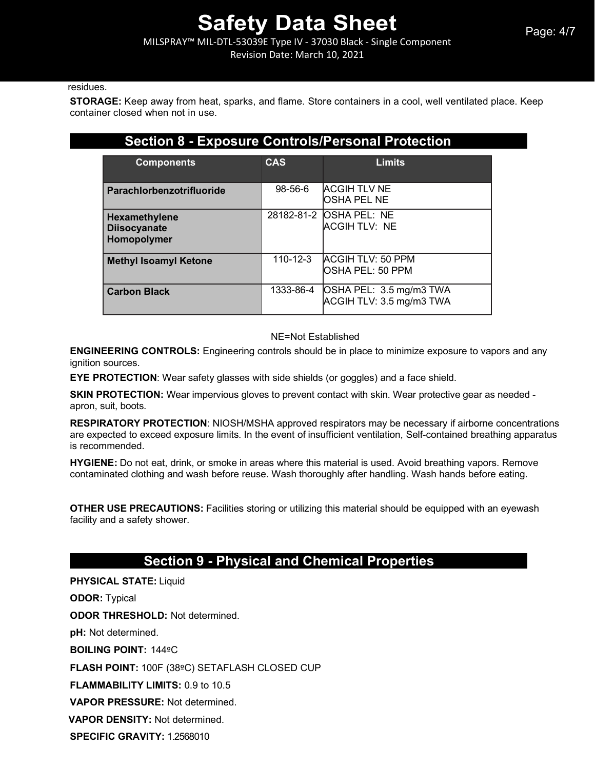MILSPRAY™ MIL-DTL-53039E Type IV - 37030 Black - Single Component

Revision Date: March 10, 2021

#### residues.

**STORAGE:** Keep away from heat, sparks, and flame. Store containers in a cool, well ventilated place. Keep container closed when not in use.

### **Section 8 - Exposure Controls/Personal Protection**

| <b>Components</b>                                   | CAS            | <b>Limits</b>                                       |
|-----------------------------------------------------|----------------|-----------------------------------------------------|
| Parachlorbenzotrifluoride                           | $98 - 56 - 6$  | <b>ACGIH TLV NE</b><br>OSHA PEL NE                  |
| Hexamethylene<br><b>Diisocyanate</b><br>Homopolymer |                | 28182-81-2 OSHA PEL: NE<br><b>ACGIH TLV: NE</b>     |
| <b>Methyl Isoamyl Ketone</b>                        | $110 - 12 - 3$ | <b>ACGIH TLV: 50 PPM</b><br>OSHA PEL: 50 PPM        |
| <b>Carbon Black</b>                                 | 1333-86-4      | OSHA PEL: 3.5 mg/m3 TWA<br>ACGIH TLV: 3.5 mg/m3 TWA |

#### NE=Not Established

**ENGINEERING CONTROLS:** Engineering controls should be in place to minimize exposure to vapors and any ignition sources.

**EYE PROTECTION**: Wear safety glasses with side shields (or goggles) and a face shield.

**SKIN PROTECTION:** Wear impervious gloves to prevent contact with skin. Wear protective gear as needed apron, suit, boots.

**RESPIRATORY PROTECTION**: NIOSH/MSHA approved respirators may be necessary if airborne concentrations are expected to exceed exposure limits. In the event of insufficient ventilation, Self-contained breathing apparatus is recommended.

**HYGIENE:** Do not eat, drink, or smoke in areas where this material is used. Avoid breathing vapors. Remove contaminated clothing and wash before reuse. Wash thoroughly after handling. Wash hands before eating.

**OTHER USE PRECAUTIONS:** Facilities storing or utilizing this material should be equipped with an eyewash facility and a safety shower.

## **Section 9 - Physical and Chemical Properties**

**PHYSICAL STATE:** Liquid

**ODOR:** Typical

**ODOR THRESHOLD:** Not determined.

**pH:** Not determined.

**BOILING POINT:** 144ºC

**FLASH POINT:** 100F (38ºC) SETAFLASH CLOSED CUP

**FLAMMABILITY LIMITS:** 0.9 to 10.5

**VAPOR PRESSURE:** Not determined.

**VAPOR DENSITY:** Not determined.

**SPECIFIC GRAVITY:** 1.2568010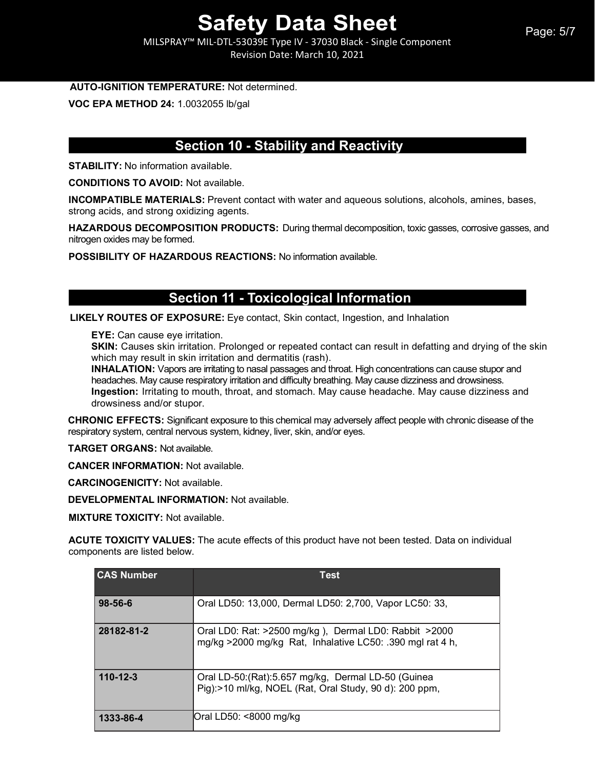MILSPRAY™ MIL-DTL-53039E Type IV - 37030 Black - Single Component Revision Date: March 10, 2021

#### **AUTO-IGNITION TEMPERATURE:** Not determined.

**VOC EPA METHOD 24:** 1.0032055 lb/gal

## **Section 10 - Stability and Reactivity**

**STABILITY:** No information available.

**CONDITIONS TO AVOID:** Not available.

**INCOMPATIBLE MATERIALS:** Prevent contact with water and aqueous solutions, alcohols, amines, bases, strong acids, and strong oxidizing agents.

**HAZARDOUS DECOMPOSITION PRODUCTS:** During thermal decomposition, toxic gasses, corrosive gasses, and nitrogen oxides may be formed.

**POSSIBILITY OF HAZARDOUS REACTIONS:** No information available.

### **Section 11 - Toxicological Information**

**LIKELY ROUTES OF EXPOSURE:** Eye contact, Skin contact, Ingestion, and Inhalation

**EYE:** Can cause eye irritation.

**SKIN:** Causes skin irritation. Prolonged or repeated contact can result in defatting and drying of the skin which may result in skin irritation and dermatitis (rash).

**INHALATION:** Vapors are irritating to nasal passages and throat. High concentrations can cause stupor and headaches. May cause respiratory irritation and difficulty breathing. May cause dizziness and drowsiness. **Ingestion:** Irritating to mouth, throat, and stomach. May cause headache. May cause dizziness and drowsiness and/or stupor.

**CHRONIC EFFECTS:** Significant exposure to this chemical may adversely affect people with chronic disease of the respiratory system, central nervous system, kidney, liver, skin, and/or eyes.

**TARGET ORGANS:** Not available.

**CANCER INFORMATION:** Not available.

**CARCINOGENICITY:** Not available.

**DEVELOPMENTAL INFORMATION:** Not available.

**MIXTURE TOXICITY:** Not available.

**ACUTE TOXICITY VALUES:** The acute effects of this product have not been tested. Data on individual components are listed below.

| <b>CAS Number</b> | <b>Test</b>                                                                                                        |
|-------------------|--------------------------------------------------------------------------------------------------------------------|
| $98 - 56 - 6$     | Oral LD50: 13,000, Dermal LD50: 2,700, Vapor LC50: 33,                                                             |
| 28182-81-2        | Oral LD0: Rat: >2500 mg/kg), Dermal LD0: Rabbit >2000<br>mg/kg >2000 mg/kg Rat, Inhalative LC50: .390 mgl rat 4 h, |
| $110 - 12 - 3$    | Oral LD-50:(Rat):5.657 mg/kg, Dermal LD-50 (Guinea<br>Pig):>10 ml/kg, NOEL (Rat, Oral Study, 90 d): 200 ppm,       |
| 1333-86-4         | Oral LD50: <8000 mg/kg                                                                                             |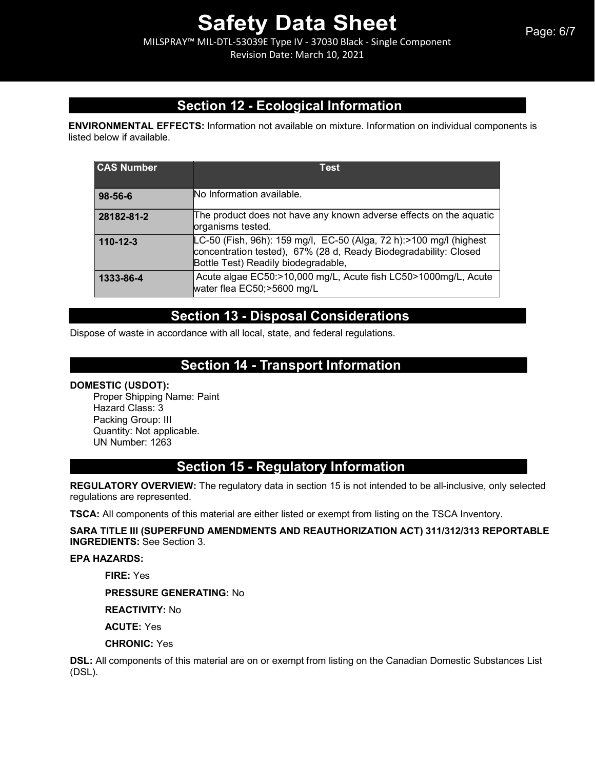MILSPRAY™ MIL-DTL-53039E Type IV - 37030 Black - Single Component Revision Date: March 10, 2021

## **Section 12 - Ecological Information**

**ENVIRONMENTAL EFFECTS:** Information not available on mixture. Information on individual components is listed below if available.

| <b>CAS Number</b> | Test                                                                                                                                                                          |
|-------------------|-------------------------------------------------------------------------------------------------------------------------------------------------------------------------------|
| 98-56-6           | No Information available.                                                                                                                                                     |
| 28182-81-2        | The product does not have any known adverse effects on the aquatic<br>organisms tested.                                                                                       |
| $110 - 12 - 3$    | LC-50 (Fish, 96h): 159 mg/l, EC-50 (Alga, 72 h):>100 mg/l (highest<br>concentration tested), 67% (28 d, Ready Biodegradability: Closed<br>Bottle Test) Readily biodegradable, |
| 1333-86-4         | Acute algae EC50:>10,000 mg/L, Acute fish LC50>1000mg/L, Acute<br>water flea EC50;>5600 mg/L                                                                                  |

## **Section 13 - Disposal Considerations**

Dispose of waste in accordance with all local, state, and federal regulations.

## **Section 14 - Transport Information**

#### **DOMESTIC (USDOT):**

Proper Shipping Name: Paint Hazard Class: 3 Packing Group: III Quantity: Not applicable. UN Number: 1263

## **Section 15 - Regulatory Information**

**REGULATORY OVERVIEW:** The regulatory data in section 15 is not intended to be all-inclusive, only selected regulations are represented.

**TSCA:** All components of this material are either listed or exempt from listing on the TSCA Inventory.

#### **SARA TITLE III (SUPERFUND AMENDMENTS AND REAUTHORIZATION ACT) 311/312/313 REPORTABLE INGREDIENTS:** See Section 3.

#### **EPA HAZARDS:**

**FIRE:** Yes

**PRESSURE GENERATING:** No

**REACTIVITY:** No

**ACUTE:** Yes

**CHRONIC:** Yes

**DSL:** All components of this material are on or exempt from listing on the Canadian Domestic Substances List (DSL).